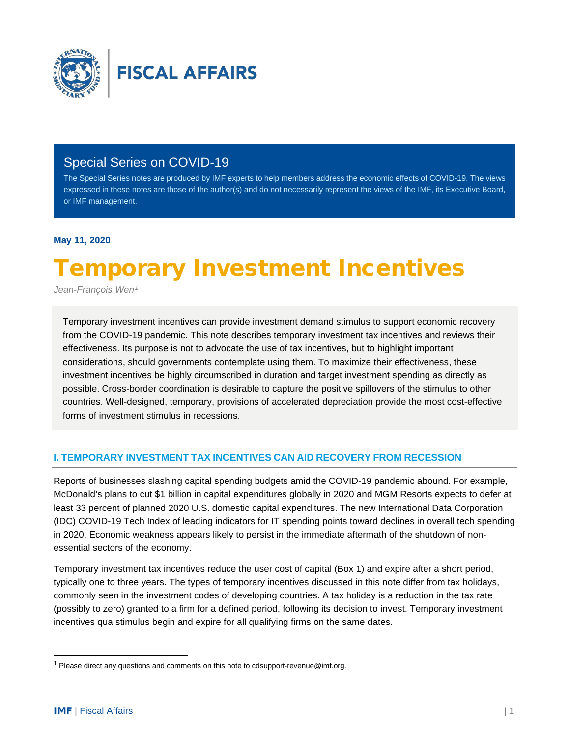

# Special Series on COVID-19

The Special Series notes are produced by IMF experts to help members address the economic effects of COVID-19. The views expressed in these notes are those of the author(s) and do not necessarily represent the views of the IMF, its Executive Board, or IMF management.

# **May 11, 2020**

# Temporary Investment Incentives

*Jean-François Wen[1](#page-0-0)*

Temporary investment incentives can provide investment demand stimulus to support economic recovery from the COVID-19 pandemic. This note describes temporary investment tax incentives and reviews their effectiveness. Its purpose is not to advocate the use of tax incentives, but to highlight important considerations, should governments contemplate using them. To maximize their effectiveness, these investment incentives be highly circumscribed in duration and target investment spending as directly as possible. Cross-border coordination is desirable to capture the positive spillovers of the stimulus to other countries. Well-designed, temporary, provisions of accelerated depreciation provide the most cost-effective forms of investment stimulus in recessions.

# **I. TEMPORARY INVESTMENT TAX INCENTIVES CAN AID RECOVERY FROM RECESSION**

Reports of businesses slashing capital spending budgets amid the COVID-19 pandemic abound. For example, McDonald's plans to cut \$1 billion in capital expenditures globally in 2020 and MGM Resorts expects to defer at least 33 percent of planned 2020 U.S. domestic capital expenditures. The new International Data Corporation (IDC) COVID-19 Tech Index of leading indicators for IT spending points toward declines in overall tech spending in 2020. Economic weakness appears likely to persist in the immediate aftermath of the shutdown of nonessential sectors of the economy.

Temporary investment tax incentives reduce the user cost of capital (Box 1) and expire after a short period, typically one to three years. The types of temporary incentives discussed in this note differ from tax holidays, commonly seen in the investment codes of developing countries. A tax holiday is a reduction in the tax rate (possibly to zero) granted to a firm for a defined period, following its decision to invest. Temporary investment incentives qua stimulus begin and expire for all qualifying firms on the same dates.

<span id="page-0-0"></span> $1$  Please direct any questions and comments on this note to cdsupport-revenue@imf.org.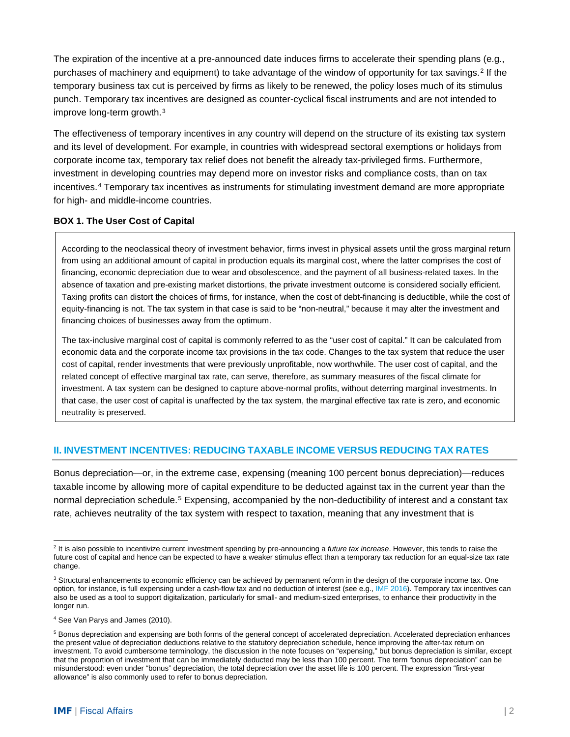The expiration of the incentive at a pre-announced date induces firms to accelerate their spending plans (e.g., purchases of machinery and equipment) to take advantage of the window of opportunity for tax savings.<sup>[2](#page-1-0)</sup> If the temporary business tax cut is perceived by firms as likely to be renewed, the policy loses much of its stimulus punch. Temporary tax incentives are designed as counter-cyclical fiscal instruments and are not intended to improve long-term growth.[3](#page-1-1)

The effectiveness of temporary incentives in any country will depend on the structure of its existing tax system and its level of development. For example, in countries with widespread sectoral exemptions or holidays from corporate income tax, temporary tax relief does not benefit the already tax-privileged firms. Furthermore, investment in developing countries may depend more on investor risks and compliance costs, than on tax incentives.[4](#page-1-2) Temporary tax incentives as instruments for stimulating investment demand are more appropriate for high- and middle-income countries.

## **BOX 1. The User Cost of Capital**

According to the neoclassical theory of investment behavior, firms invest in physical assets until the gross marginal return from using an additional amount of capital in production equals its marginal cost, where the latter comprises the cost of financing, economic depreciation due to wear and obsolescence, and the payment of all business-related taxes. In the absence of taxation and pre-existing market distortions, the private investment outcome is considered socially efficient. Taxing profits can distort the choices of firms, for instance, when the cost of debt-financing is deductible, while the cost of equity-financing is not. The tax system in that case is said to be "non-neutral," because it may alter the investment and financing choices of businesses away from the optimum.

The tax-inclusive marginal cost of capital is commonly referred to as the "user cost of capital." It can be calculated from economic data and the corporate income tax provisions in the tax code. Changes to the tax system that reduce the user cost of capital, render investments that were previously unprofitable, now worthwhile. The user cost of capital, and the related concept of effective marginal tax rate, can serve, therefore, as summary measures of the fiscal climate for investment. A tax system can be designed to capture above-normal profits, without deterring marginal investments. In that case, the user cost of capital is unaffected by the tax system, the marginal effective tax rate is zero, and economic neutrality is preserved.

## **II. INVESTMENT INCENTIVES: REDUCING TAXABLE INCOME VERSUS REDUCING TAX RATES**

Bonus depreciation—or, in the extreme case, expensing (meaning 100 percent bonus depreciation)—reduces taxable income by allowing more of capital expenditure to be deducted against tax in the current year than the normal depreciation schedule.<sup>[5](#page-1-3)</sup> Expensing, accompanied by the non-deductibility of interest and a constant tax rate, achieves neutrality of the tax system with respect to taxation, meaning that any investment that is

<span id="page-1-0"></span><sup>2</sup> It is also possible to incentivize current investment spending by pre-announcing a *future tax increase*. However, this tends to raise the future cost of capital and hence can be expected to have a weaker stimulus effect than a temporary tax reduction for an equal-size tax rate change.

<span id="page-1-1"></span><sup>&</sup>lt;sup>3</sup> Structural enhancements to economic efficiency can be achieved by permanent reform in the design of the corporate income tax. One option, for instance, is full expensing under a cash-flow tax and no deduction of interest (see e.g., [IMF 2016\)](https://www.imf.org/external/np/pp/eng/2016/100716.pdf). Temporary tax incentives can also be used as a tool to support digitalization, particularly for small- and medium-sized enterprises, to enhance their productivity in the longer run.

<span id="page-1-2"></span><sup>4</sup> See Van Parys and James (2010).

<span id="page-1-3"></span><sup>&</sup>lt;sup>5</sup> Bonus depreciation and expensing are both forms of the general concept of accelerated depreciation. Accelerated depreciation enhances the present value of depreciation deductions relative to the statutory depreciation schedule, hence improving the after-tax return on investment. To avoid cumbersome terminology, the discussion in the note focuses on "expensing," but bonus depreciation is similar, except that the proportion of investment that can be immediately deducted may be less than 100 percent. The term "bonus depreciation" can be misunderstood: even under "bonus" depreciation, the total depreciation over the asset life is 100 percent. The expression "first-year allowance" is also commonly used to refer to bonus depreciation.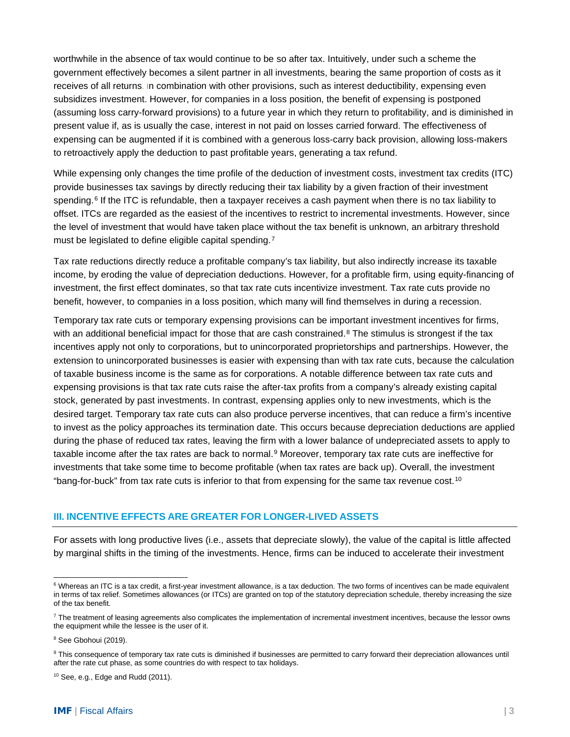worthwhile in the absence of tax would continue to be so after tax. Intuitively, under such a scheme the government effectively becomes a silent partner in all investments, bearing the same proportion of costs as it receives of all returns. In combination with other provisions, such as interest deductibility, expensing even subsidizes investment. However, for companies in a loss position, the benefit of expensing is postponed (assuming loss carry-forward provisions) to a future year in which they return to profitability, and is diminished in present value if, as is usually the case, interest in not paid on losses carried forward. The effectiveness of expensing can be augmented if it is combined with a generous loss-carry back provision, allowing loss-makers to retroactively apply the deduction to past profitable years, generating a tax refund.

While expensing only changes the time profile of the deduction of investment costs, investment tax credits (ITC) provide businesses tax savings by directly reducing their tax liability by a given fraction of their investment spending.<sup>[6](#page-2-0)</sup> If the ITC is refundable, then a taxpayer receives a cash payment when there is no tax liability to offset. ITCs are regarded as the easiest of the incentives to restrict to incremental investments. However, since the level of investment that would have taken place without the tax benefit is unknown, an arbitrary threshold must be legislated to define eligible capital spending.<sup>[7](#page-2-1)</sup>

Tax rate reductions directly reduce a profitable company's tax liability, but also indirectly increase its taxable income, by eroding the value of depreciation deductions. However, for a profitable firm, using equity-financing of investment, the first effect dominates, so that tax rate cuts incentivize investment. Tax rate cuts provide no benefit, however, to companies in a loss position, which many will find themselves in during a recession.

Temporary tax rate cuts or temporary expensing provisions can be important investment incentives for firms, with an additional beneficial impact for those that are cash constrained. $8$  The stimulus is strongest if the tax incentives apply not only to corporations, but to unincorporated proprietorships and partnerships. However, the extension to unincorporated businesses is easier with expensing than with tax rate cuts, because the calculation of taxable business income is the same as for corporations. A notable difference between tax rate cuts and expensing provisions is that tax rate cuts raise the after-tax profits from a company's already existing capital stock, generated by past investments. In contrast, expensing applies only to new investments, which is the desired target. Temporary tax rate cuts can also produce perverse incentives, that can reduce a firm's incentive to invest as the policy approaches its termination date. This occurs because depreciation deductions are applied during the phase of reduced tax rates, leaving the firm with a lower balance of undepreciated assets to apply to taxable income after the tax rates are back to normal.<sup>[9](#page-2-3)</sup> Moreover, temporary tax rate cuts are ineffective for investments that take some time to become profitable (when tax rates are back up). Overall, the investment "bang-for-buck" from tax rate cuts is inferior to that from expensing for the same tax revenue cost.[10](#page-2-4)

#### **III. INCENTIVE EFFECTS ARE GREATER FOR LONGER-LIVED ASSETS**

For assets with long productive lives (i.e., assets that depreciate slowly), the value of the capital is little affected by marginal shifts in the timing of the investments. Hence, firms can be induced to accelerate their investment

<span id="page-2-0"></span><sup>&</sup>lt;sup>6</sup> Whereas an ITC is a tax credit, a first-year investment allowance, is a tax deduction. The two forms of incentives can be made equivalent in terms of tax relief. Sometimes allowances (or ITCs) are granted on top of the statutory depreciation schedule, thereby increasing the size of the tax benefit.

<span id="page-2-1"></span> $7$  The treatment of leasing agreements also complicates the implementation of incremental investment incentives, because the lessor owns the equipment while the lessee is the user of it.

<span id="page-2-2"></span><sup>&</sup>lt;sup>8</sup> See Gbohoui (2019).

<span id="page-2-3"></span><sup>&</sup>lt;sup>9</sup> This consequence of temporary tax rate cuts is diminished if businesses are permitted to carry forward their depreciation allowances until after the rate cut phase, as some countries do with respect to tax holidays.

<span id="page-2-4"></span> $10$  See, e.g., Edge and Rudd (2011).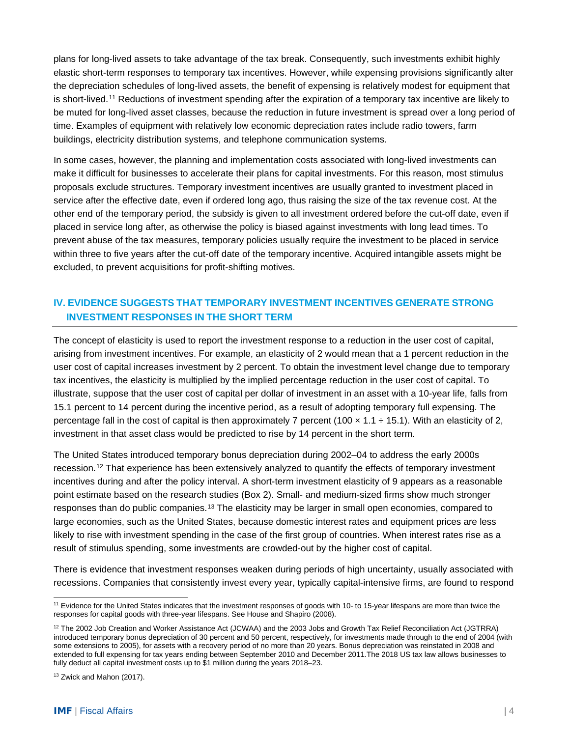plans for long-lived assets to take advantage of the tax break. Consequently, such investments exhibit highly elastic short-term responses to temporary tax incentives. However, while expensing provisions significantly alter the depreciation schedules of long-lived assets, the benefit of expensing is relatively modest for equipment that is short-lived.[11](#page-3-0) Reductions of investment spending after the expiration of a temporary tax incentive are likely to be muted for long-lived asset classes, because the reduction in future investment is spread over a long period of time. Examples of equipment with relatively low economic depreciation rates include radio towers, farm buildings, electricity distribution systems, and telephone communication systems.

In some cases, however, the planning and implementation costs associated with long-lived investments can make it difficult for businesses to accelerate their plans for capital investments. For this reason, most stimulus proposals exclude structures. Temporary investment incentives are usually granted to investment placed in service after the effective date, even if ordered long ago, thus raising the size of the tax revenue cost. At the other end of the temporary period, the subsidy is given to all investment ordered before the cut-off date, even if placed in service long after, as otherwise the policy is biased against investments with long lead times. To prevent abuse of the tax measures, temporary policies usually require the investment to be placed in service within three to five years after the cut-off date of the temporary incentive. Acquired intangible assets might be excluded, to prevent acquisitions for profit-shifting motives.

# **IV. EVIDENCE SUGGESTS THAT TEMPORARY INVESTMENT INCENTIVES GENERATE STRONG INVESTMENT RESPONSES IN THE SHORT TERM**

The concept of elasticity is used to report the investment response to a reduction in the user cost of capital, arising from investment incentives. For example, an elasticity of 2 would mean that a 1 percent reduction in the user cost of capital increases investment by 2 percent. To obtain the investment level change due to temporary tax incentives, the elasticity is multiplied by the implied percentage reduction in the user cost of capital. To illustrate, suppose that the user cost of capital per dollar of investment in an asset with a 10-year life, falls from 15.1 percent to 14 percent during the incentive period, as a result of adopting temporary full expensing. The percentage fall in the cost of capital is then approximately 7 percent (100  $\times$  1.1  $\div$  15.1). With an elasticity of 2, investment in that asset class would be predicted to rise by 14 percent in the short term.

The United States introduced temporary bonus depreciation during 2002–04 to address the early 2000s recession.[12](#page-3-1) That experience has been extensively analyzed to quantify the effects of temporary investment incentives during and after the policy interval. A short-term investment elasticity of 9 appears as a reasonable point estimate based on the research studies (Box 2). Small- and medium-sized firms show much stronger responses than do public companies.[13](#page-3-2) The elasticity may be larger in small open economies, compared to large economies, such as the United States, because domestic interest rates and equipment prices are less likely to rise with investment spending in the case of the first group of countries. When interest rates rise as a result of stimulus spending, some investments are crowded-out by the higher cost of capital.

There is evidence that investment responses weaken during periods of high uncertainty, usually associated with recessions. Companies that consistently invest every year, typically capital-intensive firms, are found to respond

<span id="page-3-0"></span><sup>&</sup>lt;sup>11</sup> Evidence for the United States indicates that the investment responses of goods with 10- to 15-year lifespans are more than twice the responses for capital goods with three-year lifespans. See House and Shapiro (2008).

<span id="page-3-1"></span><sup>&</sup>lt;sup>12</sup> The 2002 Job Creation and Worker Assistance Act (JCWAA) and the 2003 Jobs and Growth Tax Relief Reconciliation Act (JGTRRA) introduced temporary bonus depreciation of 30 percent and 50 percent, respectively, for investments made through to the end of 2004 (with some extensions to 2005), for assets with a recovery period of no more than 20 years. Bonus depreciation was reinstated in 2008 and extended to full expensing for tax years ending between September 2010 and December 2011.The 2018 US tax law allows businesses to fully deduct all capital investment costs up to \$1 million during the years 2018–23.

<span id="page-3-2"></span><sup>&</sup>lt;sup>13</sup> Zwick and Mahon (2017).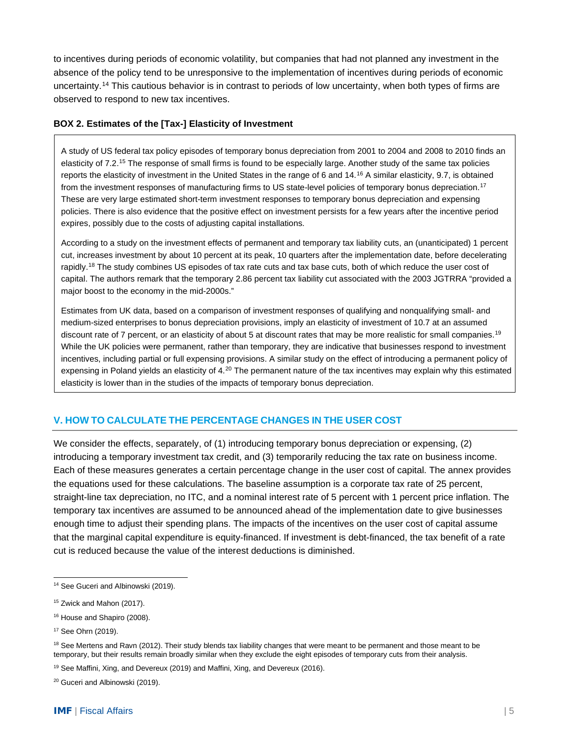to incentives during periods of economic volatility, but companies that had not planned any investment in the absence of the policy tend to be unresponsive to the implementation of incentives during periods of economic uncertainty.[14](#page-4-0) This cautious behavior is in contrast to periods of low uncertainty, when both types of firms are observed to respond to new tax incentives.

#### **BOX 2. Estimates of the [Tax-] Elasticity of Investment**

A study of US federal tax policy episodes of temporary bonus depreciation from 2001 to 2004 and 2008 to 2010 finds an elasticity of 7.2.[15](#page-4-1) The response of small firms is found to be especially large. Another study of the same tax policies reports the elasticity of investment in the United States in the range of 6 and  $14.16$  $14.16$  A similar elasticity, 9.7, is obtained from the investment responses of manufacturing firms to US state-level policies of temporary bonus depreciation.<sup>[17](#page-4-3)</sup> These are very large estimated short-term investment responses to temporary bonus depreciation and expensing policies. There is also evidence that the positive effect on investment persists for a few years after the incentive period expires, possibly due to the costs of adjusting capital installations.

According to a study on the investment effects of permanent and temporary tax liability cuts, an (unanticipated) 1 percent cut, increases investment by about 10 percent at its peak, 10 quarters after the implementation date, before decelerating rapidly.<sup>[18](#page-4-4)</sup> The study combines US episodes of tax rate cuts and tax base cuts, both of which reduce the user cost of capital. The authors remark that the temporary 2.86 percent tax liability cut associated with the 2003 JGTRRA "provided a major boost to the economy in the mid-2000s."

Estimates from UK data, based on a comparison of investment responses of qualifying and nonqualifying small- and medium-sized enterprises to bonus depreciation provisions, imply an elasticity of investment of 10.7 at an assumed discount rate of 7 percent, or an elasticity of about 5 at discount rates that may be more realistic for small companies.<sup>[19](#page-4-5)</sup> While the UK policies were permanent, rather than temporary, they are indicative that businesses respond to investment incentives, including partial or full expensing provisions. A similar study on the effect of introducing a permanent policy of expensing in Poland yields an elasticity of 4.<sup>[20](#page-4-6)</sup> The permanent nature of the tax incentives may explain why this estimated elasticity is lower than in the studies of the impacts of temporary bonus depreciation.

# **V. HOW TO CALCULATE THE PERCENTAGE CHANGES IN THE USER COST**

We consider the effects, separately, of (1) introducing temporary bonus depreciation or expensing, (2) introducing a temporary investment tax credit, and (3) temporarily reducing the tax rate on business income. Each of these measures generates a certain percentage change in the user cost of capital. The annex provides the equations used for these calculations. The baseline assumption is a corporate tax rate of 25 percent, straight-line tax depreciation, no ITC, and a nominal interest rate of 5 percent with 1 percent price inflation. The temporary tax incentives are assumed to be announced ahead of the implementation date to give businesses enough time to adjust their spending plans. The impacts of the incentives on the user cost of capital assume that the marginal capital expenditure is equity-financed. If investment is debt-financed, the tax benefit of a rate cut is reduced because the value of the interest deductions is diminished.

<span id="page-4-0"></span><sup>&</sup>lt;sup>14</sup> See Guceri and Albinowski (2019).

<span id="page-4-1"></span><sup>&</sup>lt;sup>15</sup> Zwick and Mahon (2017).

<span id="page-4-2"></span><sup>&</sup>lt;sup>16</sup> House and Shapiro (2008).

<span id="page-4-3"></span><sup>17</sup> See Ohrn (2019).

<span id="page-4-4"></span><sup>&</sup>lt;sup>18</sup> See Mertens and Ravn (2012). Their study blends tax liability changes that were meant to be permanent and those meant to be temporary, but their results remain broadly similar when they exclude the eight episodes of temporary cuts from their analysis.

<span id="page-4-5"></span><sup>&</sup>lt;sup>19</sup> See Maffini, Xing, and Devereux (2019) and Maffini, Xing, and Devereux (2016).

<span id="page-4-6"></span><sup>&</sup>lt;sup>20</sup> Guceri and Albinowski (2019).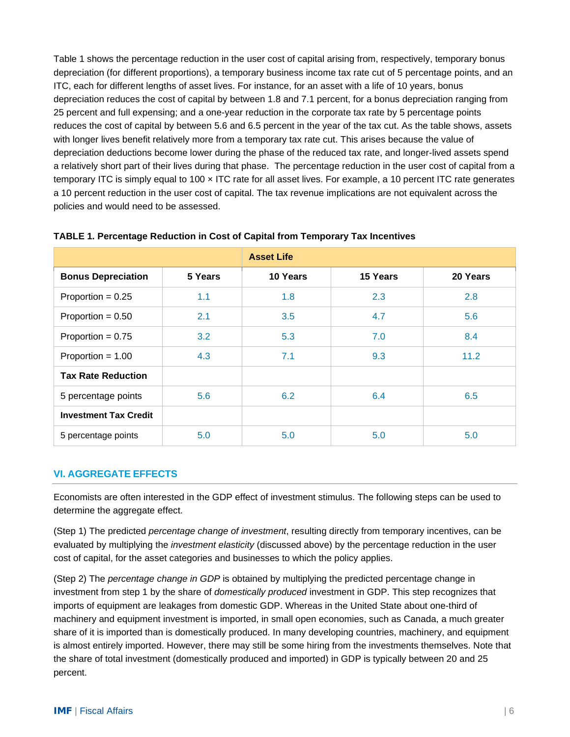Table 1 shows the percentage reduction in the user cost of capital arising from, respectively, temporary bonus depreciation (for different proportions), a temporary business income tax rate cut of 5 percentage points, and an ITC, each for different lengths of asset lives. For instance, for an asset with a life of 10 years, bonus depreciation reduces the cost of capital by between 1.8 and 7.1 percent, for a bonus depreciation ranging from 25 percent and full expensing; and a one-year reduction in the corporate tax rate by 5 percentage points reduces the cost of capital by between 5.6 and 6.5 percent in the year of the tax cut. As the table shows, assets with longer lives benefit relatively more from a temporary tax rate cut. This arises because the value of depreciation deductions become lower during the phase of the reduced tax rate, and longer-lived assets spend a relatively short part of their lives during that phase. The percentage reduction in the user cost of capital from a temporary ITC is simply equal to 100 × ITC rate for all asset lives. For example, a 10 percent ITC rate generates a 10 percent reduction in the user cost of capital. The tax revenue implications are not equivalent across the policies and would need to be assessed.

|                              |         | <b>Asset Life</b> |          |          |
|------------------------------|---------|-------------------|----------|----------|
| <b>Bonus Depreciation</b>    | 5 Years | 10 Years          | 15 Years | 20 Years |
| Proportion = $0.25$          | 1.1     | 1.8               | 2.3      | 2.8      |
| Proportion = $0.50$          | 2.1     | 3.5               | 4.7      | 5.6      |
| Proportion = $0.75$          | 3.2     | 5.3               | 7.0      | 8.4      |
| Proportion = $1.00$          | 4.3     | 7.1               | 9.3      | 11.2     |
| <b>Tax Rate Reduction</b>    |         |                   |          |          |
| 5 percentage points          | 5.6     | 6.2               | 6.4      | 6.5      |
| <b>Investment Tax Credit</b> |         |                   |          |          |
| 5 percentage points          | 5.0     | 5.0               | 5.0      | 5.0      |

#### **TABLE 1. Percentage Reduction in Cost of Capital from Temporary Tax Incentives**

#### **VI. AGGREGATE EFFECTS**

Economists are often interested in the GDP effect of investment stimulus. The following steps can be used to determine the aggregate effect.

(Step 1) The predicted *percentage change of investment*, resulting directly from temporary incentives, can be evaluated by multiplying the *investment elasticity* (discussed above) by the percentage reduction in the user cost of capital, for the asset categories and businesses to which the policy applies.

(Step 2) The *percentage change in GDP* is obtained by multiplying the predicted percentage change in investment from step 1 by the share of *domestically produced* investment in GDP. This step recognizes that imports of equipment are leakages from domestic GDP. Whereas in the United State about one-third of machinery and equipment investment is imported, in small open economies, such as Canada, a much greater share of it is imported than is domestically produced. In many developing countries, machinery, and equipment is almost entirely imported. However, there may still be some hiring from the investments themselves. Note that the share of total investment (domestically produced and imported) in GDP is typically between 20 and 25 percent.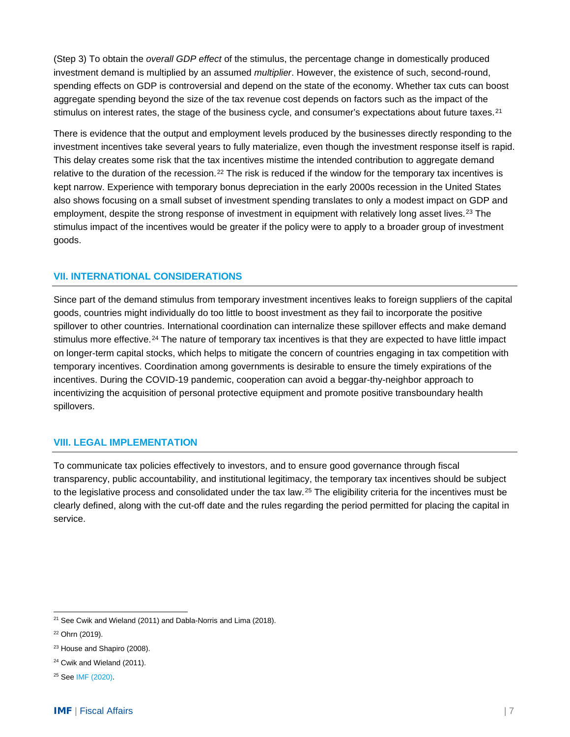(Step 3) To obtain the *overall GDP effect* of the stimulus, the percentage change in domestically produced investment demand is multiplied by an assumed *multiplier*. However, the existence of such, second-round, spending effects on GDP is controversial and depend on the state of the economy. Whether tax cuts can boost aggregate spending beyond the size of the tax revenue cost depends on factors such as the impact of the stimulus on interest rates, the stage of the business cycle, and consumer's expectations about future taxes.<sup>[21](#page-6-0)</sup>

There is evidence that the output and employment levels produced by the businesses directly responding to the investment incentives take several years to fully materialize, even though the investment response itself is rapid. This delay creates some risk that the tax incentives mistime the intended contribution to aggregate demand relative to the duration of the recession.<sup>[22](#page-6-1)</sup> The risk is reduced if the window for the temporary tax incentives is kept narrow. Experience with temporary bonus depreciation in the early 2000s recession in the United States also shows focusing on a small subset of investment spending translates to only a modest impact on GDP and employment, despite the strong response of investment in equipment with relatively long asset lives.<sup>[23](#page-6-2)</sup> The stimulus impact of the incentives would be greater if the policy were to apply to a broader group of investment goods.

# **VII. INTERNATIONAL CONSIDERATIONS**

Since part of the demand stimulus from temporary investment incentives leaks to foreign suppliers of the capital goods, countries might individually do too little to boost investment as they fail to incorporate the positive spillover to other countries. International coordination can internalize these spillover effects and make demand stimulus more effective.<sup>[24](#page-6-3)</sup> The nature of temporary tax incentives is that they are expected to have little impact on longer-term capital stocks, which helps to mitigate the concern of countries engaging in tax competition with temporary incentives. Coordination among governments is desirable to ensure the timely expirations of the incentives. During the COVID-19 pandemic, cooperation can avoid a beggar-thy-neighbor approach to incentivizing the acquisition of personal protective equipment and promote positive transboundary health spillovers.

## **VIII. LEGAL IMPLEMENTATION**

To communicate tax policies effectively to investors, and to ensure good governance through fiscal transparency, public accountability, and institutional legitimacy, the temporary tax incentives should be subject to the legislative process and consolidated under the tax law.<sup>[25](#page-6-4)</sup> The eligibility criteria for the incentives must be clearly defined, along with the cut-off date and the rules regarding the period permitted for placing the capital in service.

<span id="page-6-0"></span> $21$  See Cwik and Wieland (2011) and Dabla-Norris and Lima (2018).

<span id="page-6-1"></span><sup>22</sup> Ohrn (2019).

<span id="page-6-2"></span><sup>&</sup>lt;sup>23</sup> House and Shapiro (2008).

<span id="page-6-3"></span><sup>&</sup>lt;sup>24</sup> Cwik and Wieland (2011).

<span id="page-6-4"></span><sup>25</sup> See [IMF \(2020\).](https://www.imf.org/en/Publications/SPROLLs/covid19-special-notes#leg)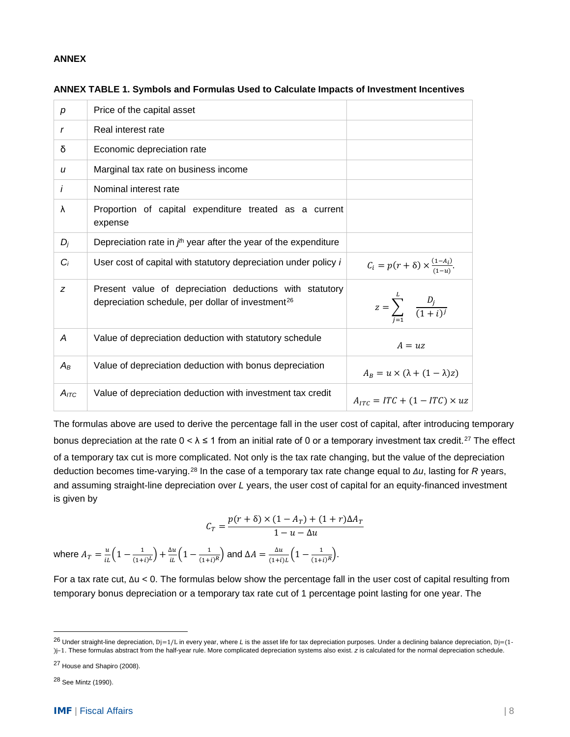#### **ANNEX**

| р                | Price of the capital asset                                                                                               |                                                      |
|------------------|--------------------------------------------------------------------------------------------------------------------------|------------------------------------------------------|
| r                | Real interest rate                                                                                                       |                                                      |
| δ                | Economic depreciation rate                                                                                               |                                                      |
| $\boldsymbol{u}$ | Marginal tax rate on business income                                                                                     |                                                      |
| i                | Nominal interest rate                                                                                                    |                                                      |
| λ                | Proportion of capital expenditure treated as a current<br>expense                                                        |                                                      |
| $D_i$            | Depreciation rate in $jth$ year after the year of the expenditure                                                        |                                                      |
| $C_i$            | User cost of capital with statutory depreciation under policy i                                                          | $C_i = p(r + \delta) \times \frac{(1-A_i)}{(1-u)}$ . |
| Z                | Present value of depreciation deductions with statutory<br>depreciation schedule, per dollar of investment <sup>26</sup> | $z = \sum_{i=1}^{L} \frac{D_i}{(1+i)^j}$             |
| Α                | Value of depreciation deduction with statutory schedule                                                                  | $A = uz$                                             |
| $A_B$            | Value of depreciation deduction with bonus depreciation                                                                  | $A_R = u \times (\lambda + (1 - \lambda)z)$          |
| $A_{ITC}$        | Value of depreciation deduction with investment tax credit                                                               | $A_{ITC} = ITC + (1 - ITC) \times uz$                |

| ANNEX TABLE 1. Symbols and Formulas Used to Calculate Impacts of Investment Incentives |  |  |
|----------------------------------------------------------------------------------------|--|--|
|                                                                                        |  |  |

The formulas above are used to derive the percentage fall in the user cost of capital, after introducing temporary bonus depreciation at the rate  $0 < \lambda \le 1$  from an initial rate of 0 or a temporary investment tax credit.<sup>[27](#page-7-1)</sup> The effect of a temporary tax cut is more complicated. Not only is the tax rate changing, but the value of the depreciation deduction becomes time-varying.[28](#page-7-2) In the case of a temporary tax rate change equal to *Δu*, lasting for *R* years, and assuming straight-line depreciation over *L* years, the user cost of capital for an equity-financed investment is given by

$$
C_T = \frac{p(r+\delta) \times (1-A_T) + (1+r)\Delta A_T}{1-u-\Delta u}
$$

where  $A_T = \frac{u}{iL} \Big( 1 - \frac{1}{(1+i)^L} \Big) + \frac{\Delta u}{iL} \Big( 1 - \frac{1}{(1+i)^R} \Big)$  and  $\Delta A = \frac{\Delta u}{(1+i)L} \Big( 1 - \frac{1}{(1+i)^R} \Big)$ .

For a tax rate cut, Δu < 0. The formulas below show the percentage fall in the user cost of capital resulting from temporary bonus depreciation or a temporary tax rate cut of 1 percentage point lasting for one year. The

<span id="page-7-2"></span><sup>28</sup> See Mintz (1990).

<span id="page-7-0"></span><sup>26</sup> Under straight-line depreciation, Dj=1/L in every year, where *<sup>L</sup>* is the asset life for tax depreciation purposes. Under a declining balance depreciation, Dj=(1- )j–1. These formulas abstract from the half-year rule. More complicated depreciation systems also exist. *z* is calculated for the normal depreciation schedule.

<span id="page-7-1"></span><sup>27</sup> House and Shapiro (2008).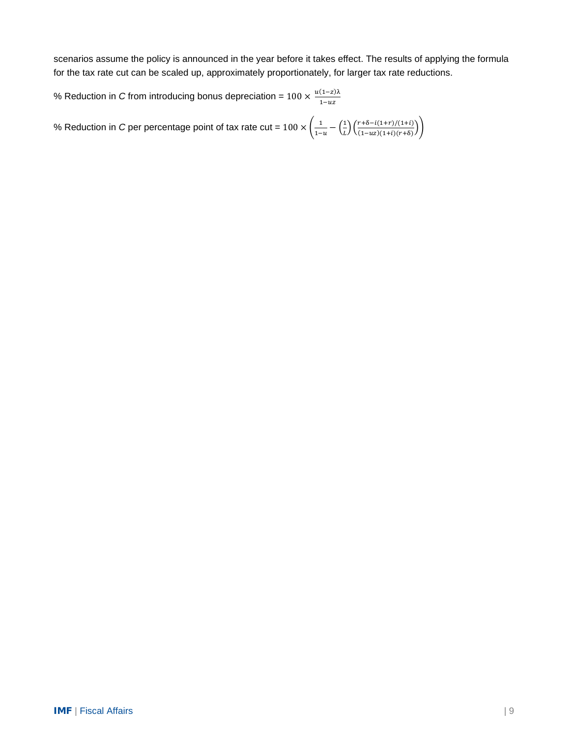scenarios assume the policy is announced in the year before it takes effect. The results of applying the formula for the tax rate cut can be scaled up, approximately proportionately, for larger tax rate reductions.

% Reduction in *C* from introducing bonus depreciation =  $100 \times \frac{u(1-z)\lambda}{1-uz}$ 

% Reduction in *C* per percentage point of tax rate cut =  $100 \times \left(\frac{1}{1-u} - \left(\frac{1}{L}\right)^2\right)$  $\frac{1}{L} \left( \frac{r+\delta - \iota(1+r)/(1+\iota)}{(1-\iota z)(1+\iota)(r+\delta)} \right)$  $\frac{1}{(1-uz)(1+i)(r+\delta)}$